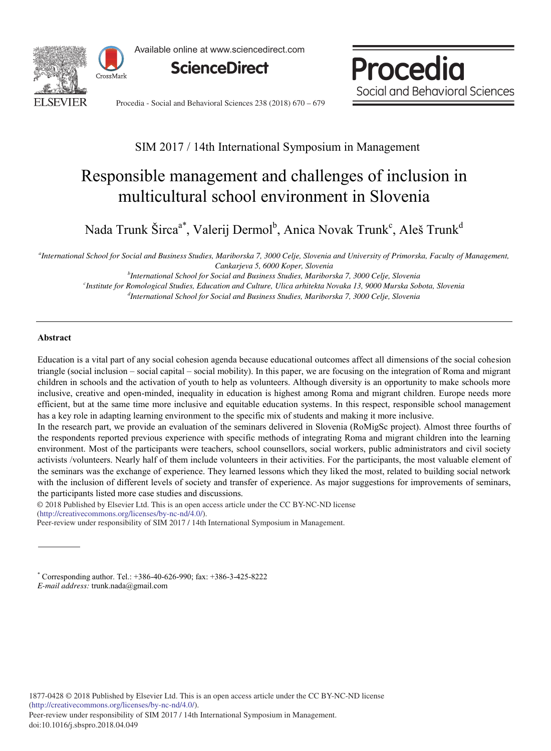





Procedia Social and Behavioral Sciences

Procedia - Social and Behavioral Sciences 238 (2018) 670 – 679

# SIM 2017 / 14th International Symposium in Management

# Responsible management and challenges of inclusion in multicultural school environment in Slovenia

Nada Trunk Širca<sup>a\*</sup>, Valerij Dermol<sup>b</sup>, Anica Novak Trunk<sup>c</sup>, Aleš Trunk<sup>d</sup>

*a International School for Social and Business Studies, Mariborska 7, 3000 Celje, Slovenia and University of Primorska, Faculty of Management, Cankarjeva 5, 6000 Koper, Slovenia*

*b International School for Social and Business Studies, Mariborska 7, 3000 Celje, Slovenia c Institute for Romological Studies, Education and Culture, Ulica arhitekta Novaka 13, 9000 Murska Sobota, Slovenia d International School for Social and Business Studies, Mariborska 7, 3000 Celje, Slovenia*

# **Abstract**

Education is a vital part of any social cohesion agenda because educational outcomes affect all dimensions of the social cohesion triangle (social inclusion – social capital – social mobility). In this paper, we are focusing on the integration of Roma and migrant children in schools and the activation of youth to help as volunteers. Although diversity is an opportunity to make schools more inclusive, creative and open-minded, inequality in education is highest among Roma and migrant children. Europe needs more efficient, but at the same time more inclusive and equitable education systems. In this respect, responsible school management has a key role in adapting learning environment to the specific mix of students and making it more inclusive.

In the research part, we provide an evaluation of the seminars delivered in Slovenia (RoMigSc project). Almost three fourths of the respondents reported previous experience with specific methods of integrating Roma and migrant children into the learning environment. Most of the participants were teachers, school counsellors, social workers, public administrators and civil society activists /volunteers. Nearly half of them include volunteers in their activities. For the participants, the most valuable element of the seminars was the exchange of experience. They learned lessons which they liked the most, related to building social network with the inclusion of different levels of society and transfer of experience. As major suggestions for improvements of seminars, the participants listed more case studies and discussions.

© 2018 Published by Elsevier Ltd. This is an open access article under the CC BY-NC-ND license (http://creativecommons.org/licenses/by-nc-nd/4.0/).

doi: 10.1016/j.sbspro.2018.04.049

Peer-review under responsibility of SIM 2017 / 14th International Symposium in Management.

<sup>\*</sup> Corresponding author. Tel.: +386-40-626-990; fax: +386-3-425-8222 *E-mail address:* trunk.nada@gmail.com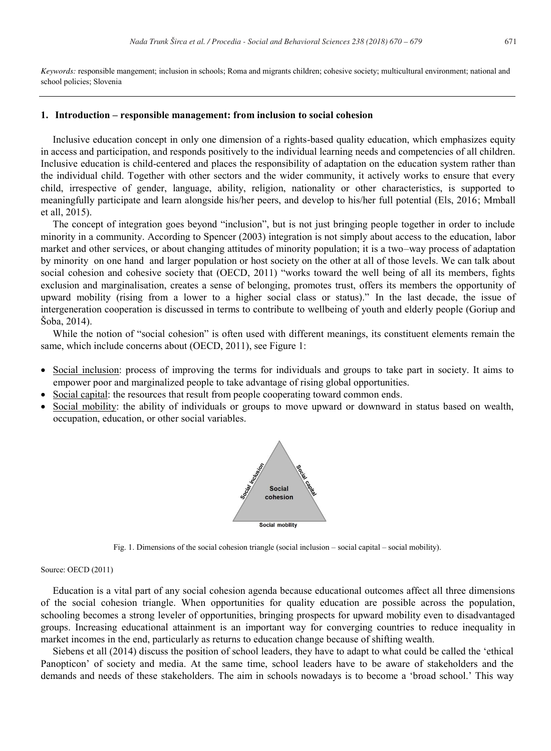*Keywords:* responsible mangement; inclusion in schools; Roma and migrants children; cohesive society; multicultural environment; national and school policies; Slovenia

#### **1. Introduction – responsible management: from inclusion to social cohesion**

Inclusive education concept in only one dimension of a rights-based quality education, which emphasizes equity in access and participation, and responds positively to the individual learning needs and competencies of all children. Inclusive education is child-centered and places the responsibility of adaptation on the education system rather than the individual child. Together with other sectors and the wider community, it actively works to ensure that every child, irrespective of gender, language, ability, religion, nationality or other characteristics, is supported to meaningfully participate and learn alongside his/her peers, and develop to his/her full potential (Els, 2016; Mmball et all, 2015).

The concept of integration goes beyond "inclusion", but is not just bringing people together in order to include minority in a community. According to Spencer (2003) integration is not simply about access to the education, labor market and other services, or about changing attitudes of minority population; it is a two–way process of adaptation by minority on one hand and larger population or host society on the other at all of those levels. We can talk about social cohesion and cohesive society that (OECD, 2011) "works toward the well being of all its members, fights exclusion and marginalisation, creates a sense of belonging, promotes trust, offers its members the opportunity of upward mobility (rising from a lower to a higher social class or status)." In the last decade, the issue of intergeneration cooperation is discussed in terms to contribute to wellbeing of youth and elderly people (Goriup and Šoba, 2014).

While the notion of "social cohesion" is often used with different meanings, its constituent elements remain the same, which include concerns about (OECD, 2011), see Figure 1:

- Social inclusion: process of improving the terms for individuals and groups to take part in society. It aims to empower poor and marginalized people to take advantage of rising global opportunities.
- Social capital: the resources that result from people cooperating toward common ends.
- Social mobility: the ability of individuals or groups to move upward or downward in status based on wealth, occupation, education, or other social variables.



Fig. 1. Dimensions of the social cohesion triangle (social inclusion – social capital – social mobility).

#### Source: OECD (2011)

Education is a vital part of any social cohesion agenda because educational outcomes affect all three dimensions of the social cohesion triangle. When opportunities for quality education are possible across the population, schooling becomes a strong leveler of opportunities, bringing prospects for upward mobility even to disadvantaged groups. Increasing educational attainment is an important way for converging countries to reduce inequality in market incomes in the end, particularly as returns to education change because of shifting wealth.

Siebens et all (2014) discuss the position of school leaders, they have to adapt to what could be called the 'ethical Panopticon' of society and media. At the same time, school leaders have to be aware of stakeholders and the demands and needs of these stakeholders. The aim in schools nowadays is to become a 'broad school.' This way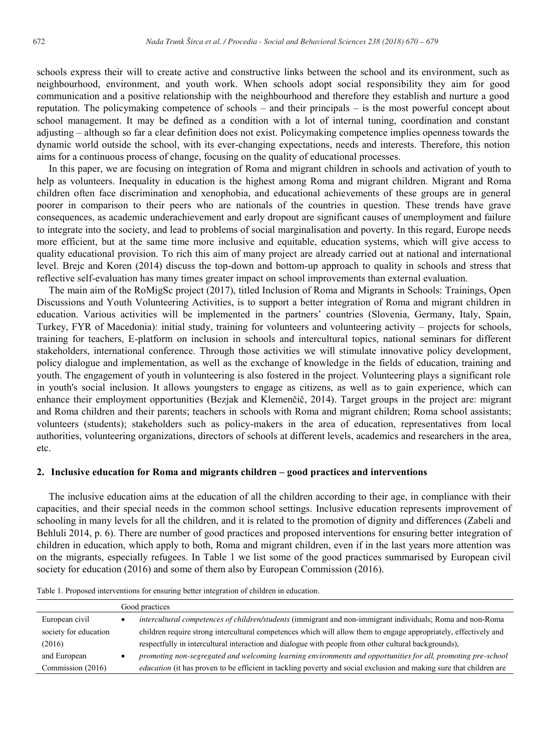schools express their will to create active and constructive links between the school and its environment, such as neighbourhood, environment, and youth work. When schools adopt social responsibility they aim for good communication and a positive relationship with the neighbourhood and therefore they establish and nurture a good reputation. The policymaking competence of schools – and their principals – is the most powerful concept about school management. It may be defined as a condition with a lot of internal tuning, coordination and constant adjusting – although so far a clear definition does not exist. Policymaking competence implies openness towards the dynamic world outside the school, with its ever-changing expectations, needs and interests. Therefore, this notion aims for a continuous process of change, focusing on the quality of educational processes.

In this paper, we are focusing on integration of Roma and migrant children in schools and activation of youth to help as volunteers. Inequality in education is the highest among Roma and migrant children. Migrant and Roma children often face discrimination and xenophobia, and educational achievements of these groups are in general poorer in comparison to their peers who are nationals of the countries in question. These trends have grave consequences, as academic underachievement and early dropout are significant causes of unemployment and failure to integrate into the society, and lead to problems of social marginalisation and poverty. In this regard, Europe needs more efficient, but at the same time more inclusive and equitable, education systems, which will give access to quality educational provision. To rich this aim of many project are already carried out at national and international level. Brejc and Koren (2014) discuss the top-down and bottom-up approach to quality in schools and stress that reflective self-evaluation has many times greater impact on school improvements than external evaluation.

The main aim of the RoMigSc project (2017), titled Inclusion of Roma and Migrants in Schools: Trainings, Open Discussions and Youth Volunteering Activities, is to support a better integration of Roma and migrant children in education. Various activities will be implemented in the partners' countries (Slovenia, Germany, Italy, Spain, Turkey, FYR of Macedonia): initial study, training for volunteers and volunteering activity – projects for schools, training for teachers, E-platform on inclusion in schools and intercultural topics, national seminars for different stakeholders, international conference. Through those activities we will stimulate innovative policy development, policy dialogue and implementation, as well as the exchange of knowledge in the fields of education, training and youth. The engagement of youth in volunteering is also fostered in the project. Volunteering plays a significant role in youth's social inclusion. It allows youngsters to engage as citizens, as well as to gain experience, which can enhance their employment opportunities (Bezjak and Klemenčič, 2014). Target groups in the project are: migrant and Roma children and their parents; teachers in schools with Roma and migrant children; Roma school assistants; volunteers (students); stakeholders such as policy-makers in the area of education, representatives from local authorities, volunteering organizations, directors of schools at different levels, academics and researchers in the area, etc.

#### **2. Inclusive education for Roma and migrants children – good practices and interventions**

The inclusive education aims at the education of all the children according to their age, in compliance with their capacities, and their special needs in the common school settings. Inclusive education represents improvement of schooling in many levels for all the children, and it is related to the promotion of dignity and differences (Zabeli and Behluli 2014, p. 6). There are number of good practices and proposed interventions for ensuring better integration of children in education, which apply to both, Roma and migrant children, even if in the last years more attention was on the migrants, especially refugees. In Table 1 we list some of the good practices summarised by European civil society for education (2016) and some of them also by European Commission (2016).

|                       | Good practices |                                                                                                                            |
|-----------------------|----------------|----------------------------------------------------------------------------------------------------------------------------|
| European civil        |                | intercultural competences of children/students (immigrant and non-immigrant individuals; Roma and non-Roma                 |
| society for education |                | children require strong intercultural competences which will allow them to engage appropriately, effectively and           |
| (2016)                |                | respectfully in intercultural interaction and dialogue with people from other cultural backgrounds),                       |
| and European          |                | promoting non-segregated and welcoming learning environments and opportunities for all, promoting pre-school               |
| Commission (2016)     |                | <i>education</i> (it has proven to be efficient in tackling poverty and social exclusion and making sure that children are |

Table 1. Proposed interventions for ensuring better integration of children in education.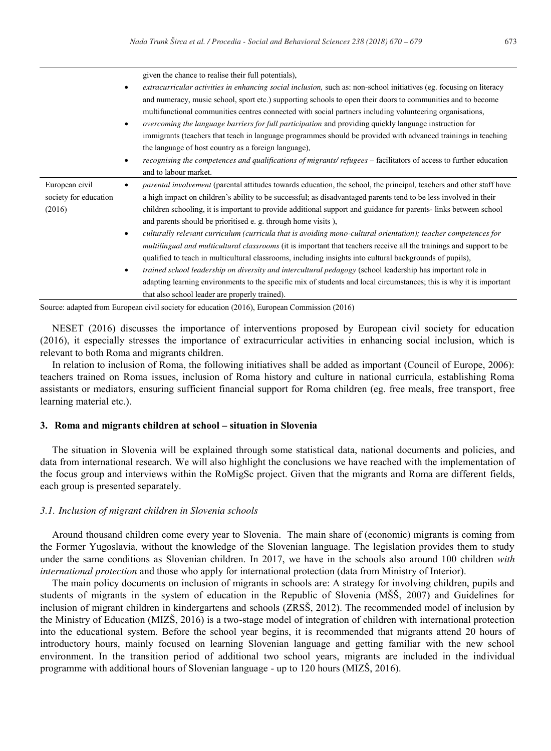|                       | given the chance to realise their full potentials),                                                                            |
|-----------------------|--------------------------------------------------------------------------------------------------------------------------------|
|                       | <i>extracurricular activities in enhancing social inclusion</i> , such as: non-school initiatives (eg. focusing on literacy    |
|                       | and numeracy, music school, sport etc.) supporting schools to open their doors to communities and to become                    |
|                       | multifunctional communities centres connected with social partners including volunteering organisations,                       |
|                       | <i>overcoming the language barriers for full participation</i> and providing quickly language instruction for                  |
|                       | immigrants (teachers that teach in language programmes should be provided with advanced trainings in teaching                  |
|                       | the language of host country as a foreign language),                                                                           |
|                       | <i>recognising the competences and qualifications of migrants/ refugees</i> – facilitators of access to further education<br>٠ |
|                       | and to labour market.                                                                                                          |
| European civil        | <i>parental involvement</i> (parental attitudes towards education, the school, the principal, teachers and other staff have    |
| society for education | a high impact on children's ability to be successful; as disadvantaged parents tend to be less involved in their               |
| (2016)                | children schooling, it is important to provide additional support and guidance for parents-links between school                |
|                       | and parents should be prioritised e. g. through home visits),                                                                  |
|                       | culturally relevant curriculum (curricula that is avoiding mono-cultural orientation); teacher competences for<br>$\bullet$    |
|                       | <i>multilingual and multicultural classrooms</i> (it is important that teachers receive all the trainings and support to be    |
|                       | qualified to teach in multicultural classrooms, including insights into cultural backgrounds of pupils),                       |
|                       | trained school leadership on diversity and intercultural pedagogy (school leadership has important role in<br>٠                |
|                       | adapting learning environments to the specific mix of students and local circumstances; this is why it is important            |
|                       | that also school leader are properly trained).                                                                                 |

Source: adapted from European civil society for education (2016), European Commission (2016)

NESET (2016) discusses the importance of interventions proposed by European civil society for education (2016), it especially stresses the importance of extracurricular activities in enhancing social inclusion, which is relevant to both Roma and migrants children.

In relation to inclusion of Roma, the following initiatives shall be added as important (Council of Europe, 2006): teachers trained on Roma issues, inclusion of Roma history and culture in national curricula, establishing Roma assistants or mediators, ensuring sufficient financial support for Roma children (eg. free meals, free transport, free learning material etc.).

#### **3. Roma and migrants children at school – situation in Slovenia**

The situation in Slovenia will be explained through some statistical data, national documents and policies, and data from international research. We will also highlight the conclusions we have reached with the implementation of the focus group and interviews within the RoMigSc project. Given that the migrants and Roma are different fields, each group is presented separately.

#### *3.1. Inclusion of migrant children in Slovenia schools*

Around thousand children come every year to Slovenia. The main share of (economic) migrants is coming from the Former Yugoslavia, without the knowledge of the Slovenian language. The legislation provides them to study under the same conditions as Slovenian children. In 2017, we have in the schools also around 100 children *with international protection* and those who apply for international protection (data from Ministry of Interior).

The main policy documents on inclusion of migrants in schools are: A strategy for involving children, pupils and students of migrants in the system of education in the Republic of Slovenia (MŠŠ, 2007) and Guidelines for inclusion of migrant children in kindergartens and schools (ZRSŠ, 2012). The recommended model of inclusion by the Ministry of Education (MIZŠ, 2016) is a two-stage model of integration of children with international protection into the educational system. Before the school year begins, it is recommended that migrants attend 20 hours of introductory hours, mainly focused on learning Slovenian language and getting familiar with the new school environment. In the transition period of additional two school years, migrants are included in the individual programme with additional hours of Slovenian language - up to 120 hours (MIZŠ, 2016).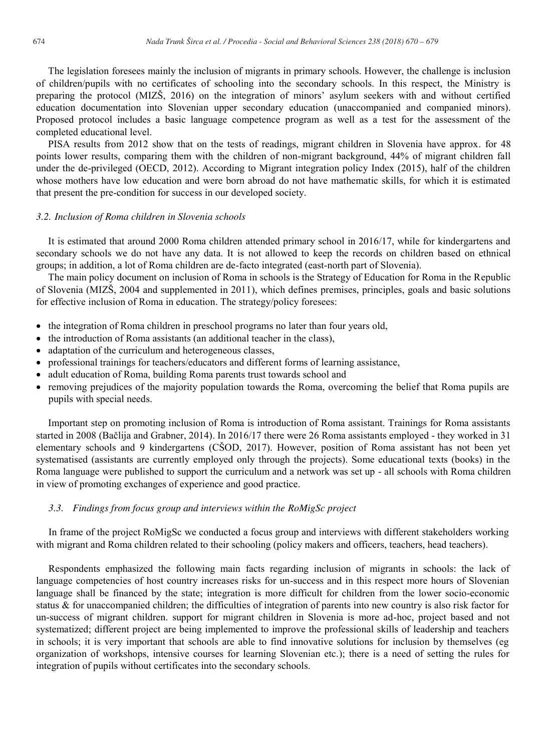The legislation foresees mainly the inclusion of migrants in primary schools. However, the challenge is inclusion of children/pupils with no certificates of schooling into the secondary schools. In this respect, the Ministry is preparing the protocol (MIZŠ, 2016) on the integration of minors' asylum seekers with and without certified education documentation into Slovenian upper secondary education (unaccompanied and companied minors). Proposed protocol includes a basic language competence program as well as a test for the assessment of the completed educational level.

PISA results from 2012 show that on the tests of readings, migrant children in Slovenia have approx. for 48 points lower results, comparing them with the children of non-migrant background, 44% of migrant children fall under the de-privileged (OECD, 2012). According to Migrant integration policy Index (2015), half of the children whose mothers have low education and were born abroad do not have mathematic skills, for which it is estimated that present the pre-condition for success in our developed society.

#### *3.2. Inclusion of Roma children in Slovenia schools*

It is estimated that around 2000 Roma children attended primary school in 2016/17, while for kindergartens and secondary schools we do not have any data. It is not allowed to keep the records on children based on ethnical groups; in addition, a lot of Roma children are de-facto integrated (east-north part of Slovenia).

The main policy document on inclusion of Roma in schools is the Strategy of Education for Roma in the Republic of Slovenia (MIZŠ, 2004 and supplemented in 2011), which defines premises, principles, goals and basic solutions for effective inclusion of Roma in education. The strategy/policy foresees:

- the integration of Roma children in preschool programs no later than four years old,
- the introduction of Roma assistants (an additional teacher in the class),
- adaptation of the curriculum and heterogeneous classes,
- professional trainings for teachers/educators and different forms of learning assistance,
- adult education of Roma, building Roma parents trust towards school and
- removing prejudices of the majority population towards the Roma, overcoming the belief that Roma pupils are pupils with special needs.

Important step on promoting inclusion of Roma is introduction of Roma assistant. Trainings for Roma assistants started in 2008 (Bačlija and Grabner, 2014). In 2016/17 there were 26 Roma assistants employed - they worked in 31 elementary schools and 9 kindergartens (CŠOD, 2017). However, position of Roma assistant has not been yet systematised (assistants are currently employed only through the projects). Some educational texts (books) in the Roma language were published to support the curriculum and a network was set up - all schools with Roma children in view of promoting exchanges of experience and good practice.

#### *3.3. Findings from focus group and interviews within the RoMigSc project*

In frame of the project RoMigSc we conducted a focus group and interviews with different stakeholders working with migrant and Roma children related to their schooling (policy makers and officers, teachers, head teachers).

Respondents emphasized the following main facts regarding inclusion of migrants in schools: the lack of language competencies of host country increases risks for un-success and in this respect more hours of Slovenian language shall be financed by the state; integration is more difficult for children from the lower socio-economic status & for unaccompanied children; the difficulties of integration of parents into new country is also risk factor for un-success of migrant children. support for migrant children in Slovenia is more ad-hoc, project based and not systematized; different project are being implemented to improve the professional skills of leadership and teachers in schools; it is very important that schools are able to find innovative solutions for inclusion by themselves (eg organization of workshops, intensive courses for learning Slovenian etc.); there is a need of setting the rules for integration of pupils without certificates into the secondary schools.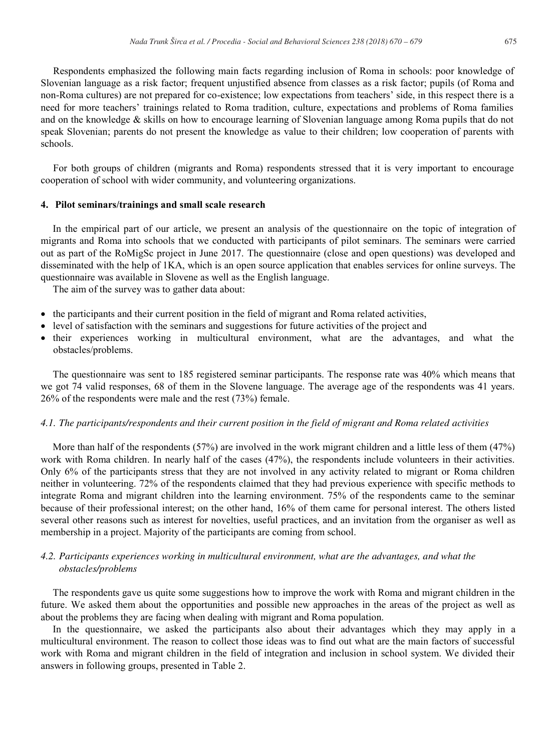Respondents emphasized the following main facts regarding inclusion of Roma in schools: poor knowledge of Slovenian language as a risk factor; frequent unjustified absence from classes as a risk factor; pupils (of Roma and non-Roma cultures) are not prepared for co-existence; low expectations from teachers' side, in this respect there is a need for more teachers' trainings related to Roma tradition, culture, expectations and problems of Roma families and on the knowledge & skills on how to encourage learning of Slovenian language among Roma pupils that do not speak Slovenian; parents do not present the knowledge as value to their children; low cooperation of parents with schools.

For both groups of children (migrants and Roma) respondents stressed that it is very important to encourage cooperation of school with wider community, and volunteering organizations.

#### **4. Pilot seminars/trainings and small scale research**

In the empirical part of our article, we present an analysis of the questionnaire on the topic of integration of migrants and Roma into schools that we conducted with participants of pilot seminars. The seminars were carried out as part of the RoMigSc project in June 2017. The questionnaire (close and open questions) was developed and disseminated with the help of 1KA, which is an open source application that enables services for online surveys. The questionnaire was available in Slovene as well as the English language.

The aim of the survey was to gather data about:

- the participants and their current position in the field of migrant and Roma related activities,
- level of satisfaction with the seminars and suggestions for future activities of the project and
- x their experiences working in multicultural environment, what are the advantages, and what the obstacles/problems.

The questionnaire was sent to 185 registered seminar participants. The response rate was 40% which means that we got 74 valid responses, 68 of them in the Slovene language. The average age of the respondents was 41 years. 26% of the respondents were male and the rest (73%) female.

### *4.1. The participants/respondents and their current position in the field of migrant and Roma related activities*

More than half of the respondents (57%) are involved in the work migrant children and a little less of them (47%) work with Roma children. In nearly half of the cases (47%), the respondents include volunteers in their activities. Only 6% of the participants stress that they are not involved in any activity related to migrant or Roma children neither in volunteering. 72% of the respondents claimed that they had previous experience with specific methods to integrate Roma and migrant children into the learning environment. 75% of the respondents came to the seminar because of their professional interest; on the other hand, 16% of them came for personal interest. The others listed several other reasons such as interest for novelties, useful practices, and an invitation from the organiser as well as membership in a project. Majority of the participants are coming from school.

# *4.2. Participants experiences working in multicultural environment, what are the advantages, and what the obstacles/problems*

The respondents gave us quite some suggestions how to improve the work with Roma and migrant children in the future. We asked them about the opportunities and possible new approaches in the areas of the project as well as about the problems they are facing when dealing with migrant and Roma population.

In the questionnaire, we asked the participants also about their advantages which they may apply in a multicultural environment. The reason to collect those ideas was to find out what are the main factors of successful work with Roma and migrant children in the field of integration and inclusion in school system. We divided their answers in following groups, presented in Table 2.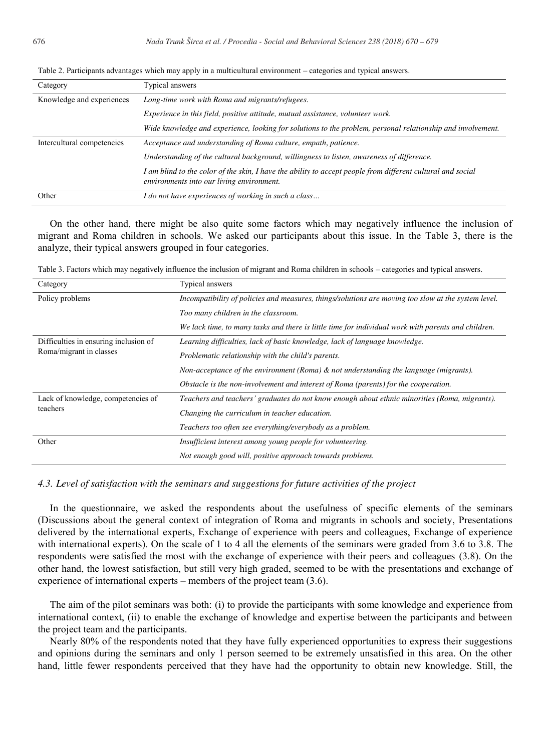| Category                   | Typical answers                                                                                                                                          |
|----------------------------|----------------------------------------------------------------------------------------------------------------------------------------------------------|
| Knowledge and experiences  | Long-time work with Roma and migrants/refugees.                                                                                                          |
|                            | Experience in this field, positive attitude, mutual assistance, volunteer work.                                                                          |
|                            | Wide knowledge and experience, looking for solutions to the problem, personal relationship and involvement.                                              |
| Intercultural competencies | Acceptance and understanding of Roma culture, empath, patience.                                                                                          |
|                            | Understanding of the cultural background, willingness to listen, awareness of difference.                                                                |
|                            | I am blind to the color of the skin, I have the ability to accept people from different cultural and social<br>environments into our living environment. |
| Other                      | I do not have experiences of working in such a class                                                                                                     |

Table 2. Participants advantages which may apply in a multicultural environment – categories and typical answers.

On the other hand, there might be also quite some factors which may negatively influence the inclusion of migrant and Roma children in schools. We asked our participants about this issue. In the Table 3, there is the analyze, their typical answers grouped in four categories.

Table 3. Factors which may negatively influence the inclusion of migrant and Roma children in schools – categories and typical answers.

| Category                              | Typical answers                                                                                     |
|---------------------------------------|-----------------------------------------------------------------------------------------------------|
| Policy problems                       | Incompatibility of policies and measures, things/solutions are moving too slow at the system level. |
|                                       | Too many children in the classroom.                                                                 |
|                                       | We lack time, to many tasks and there is little time for individual work with parents and children. |
| Difficulties in ensuring inclusion of | Learning difficulties, lack of basic knowledge, lack of language knowledge.                         |
| Roma/migrant in classes               | Problematic relationship with the child's parents.                                                  |
|                                       | Non-acceptance of the environment (Roma) $\&$ not understanding the language (migrants).            |
|                                       | Obstacle is the non-involvement and interest of Roma (parents) for the cooperation.                 |
| Lack of knowledge, competencies of    | Teachers and teachers' graduates do not know enough about ethnic minorities (Roma, migrants).       |
| teachers                              | Changing the curriculum in teacher education.                                                       |
|                                       | Teachers too often see everything/everybody as a problem.                                           |
| Other                                 | Insufficient interest among young people for volunteering.                                          |
|                                       | Not enough good will, positive approach towards problems.                                           |

#### *4.3. Level of satisfaction with the seminars and suggestions for future activities of the project*

In the questionnaire, we asked the respondents about the usefulness of specific elements of the seminars (Discussions about the general context of integration of Roma and migrants in schools and society, Presentations delivered by the international experts, Exchange of experience with peers and colleagues, Exchange of experience with international experts). On the scale of 1 to 4 all the elements of the seminars were graded from 3.6 to 3.8. The respondents were satisfied the most with the exchange of experience with their peers and colleagues (3.8). On the other hand, the lowest satisfaction, but still very high graded, seemed to be with the presentations and exchange of experience of international experts – members of the project team (3.6).

The aim of the pilot seminars was both: (i) to provide the participants with some knowledge and experience from international context, (ii) to enable the exchange of knowledge and expertise between the participants and between the project team and the participants.

Nearly 80% of the respondents noted that they have fully experienced opportunities to express their suggestions and opinions during the seminars and only 1 person seemed to be extremely unsatisfied in this area. On the other hand, little fewer respondents perceived that they have had the opportunity to obtain new knowledge. Still, the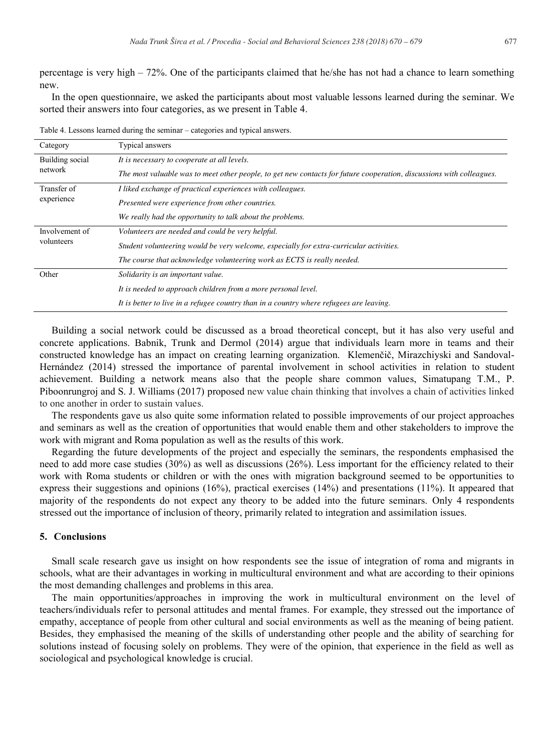percentage is very high – 72%. One of the participants claimed that he/she has not had a chance to learn something new.

In the open questionnaire, we asked the participants about most valuable lessons learned during the seminar. We sorted their answers into four categories, as we present in Table 4.

| Category                     | Typical answers                                                                                                      |
|------------------------------|----------------------------------------------------------------------------------------------------------------------|
| Building social<br>network   | It is necessary to cooperate at all levels.                                                                          |
|                              | The most valuable was to meet other people, to get new contacts for future cooperation, discussions with colleagues. |
| Transfer of<br>experience    | I liked exchange of practical experiences with colleagues.                                                           |
|                              | Presented were experience from other countries.                                                                      |
|                              | We really had the opportunity to talk about the problems.                                                            |
| Involvement of<br>volunteers | Volunteers are needed and could be very helpful.                                                                     |
|                              | Student volunteering would be very welcome, especially for extra-curricular activities.                              |
|                              | The course that acknowledge volunteering work as ECTS is really needed.                                              |
| Other                        | Solidarity is an important value.                                                                                    |
|                              | It is needed to approach children from a more personal level.                                                        |
|                              | It is better to live in a refugee country than in a country where refugees are leaving.                              |

Table 4. Lessons learned during the seminar – categories and typical answers.

Building a social network could be discussed as a broad theoretical concept, but it has also very useful and concrete applications. Babnik, Trunk and Dermol (2014) argue that individuals learn more in teams and their constructed knowledge has an impact on creating learning organization. Klemenčič, Mirazchiyski and Sandoval-Hernández (2014) stressed the importance of parental involvement in school activities in relation to student achievement. Building a network means also that the people share common values, Simatupang T.M., P. Piboonrungroj and S. J. Williams (2017) proposed new value chain thinking that involves a chain of activities linked to one another in order to sustain values.

The respondents gave us also quite some information related to possible improvements of our project approaches and seminars as well as the creation of opportunities that would enable them and other stakeholders to improve the work with migrant and Roma population as well as the results of this work.

Regarding the future developments of the project and especially the seminars, the respondents emphasised the need to add more case studies (30%) as well as discussions (26%). Less important for the efficiency related to their work with Roma students or children or with the ones with migration background seemed to be opportunities to express their suggestions and opinions (16%), practical exercises (14%) and presentations (11%). It appeared that majority of the respondents do not expect any theory to be added into the future seminars. Only 4 respondents stressed out the importance of inclusion of theory, primarily related to integration and assimilation issues.

#### **5. Conclusions**

Small scale research gave us insight on how respondents see the issue of integration of roma and migrants in schools, what are their advantages in working in multicultural environment and what are according to their opinions the most demanding challenges and problems in this area.

The main opportunities/approaches in improving the work in multicultural environment on the level of teachers/individuals refer to personal attitudes and mental frames. For example, they stressed out the importance of empathy, acceptance of people from other cultural and social environments as well as the meaning of being patient. Besides, they emphasised the meaning of the skills of understanding other people and the ability of searching for solutions instead of focusing solely on problems. They were of the opinion, that experience in the field as well as sociological and psychological knowledge is crucial.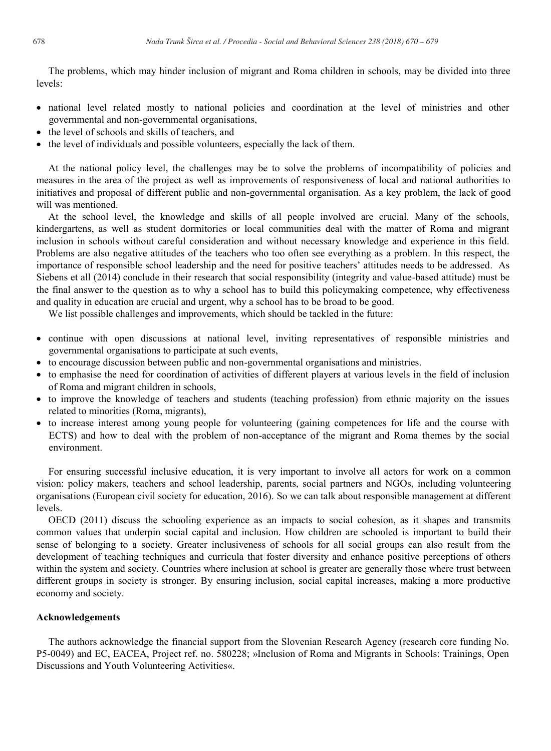The problems, which may hinder inclusion of migrant and Roma children in schools, may be divided into three levels:

- national level related mostly to national policies and coordination at the level of ministries and other governmental and non-governmental organisations,
- the level of schools and skills of teachers, and
- $\bullet$  the level of individuals and possible volunteers, especially the lack of them.

At the national policy level, the challenges may be to solve the problems of incompatibility of policies and measures in the area of the project as well as improvements of responsiveness of local and national authorities to initiatives and proposal of different public and non-governmental organisation. As a key problem, the lack of good will was mentioned.

At the school level, the knowledge and skills of all people involved are crucial. Many of the schools, kindergartens, as well as student dormitories or local communities deal with the matter of Roma and migrant inclusion in schools without careful consideration and without necessary knowledge and experience in this field. Problems are also negative attitudes of the teachers who too often see everything as a problem. In this respect, the importance of responsible school leadership and the need for positive teachers' attitudes needs to be addressed. As Siebens et all (2014) conclude in their research that social responsibility (integrity and value-based attitude) must be the final answer to the question as to why a school has to build this policymaking competence, why effectiveness and quality in education are crucial and urgent, why a school has to be broad to be good.

We list possible challenges and improvements, which should be tackled in the future:

- continue with open discussions at national level, inviting representatives of responsible ministries and governmental organisations to participate at such events,
- to encourage discussion between public and non-governmental organisations and ministries.
- x to emphasise the need for coordination of activities of different players at various levels in the field of inclusion of Roma and migrant children in schools,
- to improve the knowledge of teachers and students (teaching profession) from ethnic majority on the issues related to minorities (Roma, migrants),
- to increase interest among young people for volunteering (gaining competences for life and the course with ECTS) and how to deal with the problem of non-acceptance of the migrant and Roma themes by the social environment.

For ensuring successful inclusive education, it is very important to involve all actors for work on a common vision: policy makers, teachers and school leadership, parents, social partners and NGOs, including volunteering organisations (European civil society for education, 2016). So we can talk about responsible management at different levels.

OECD (2011) discuss the schooling experience as an impacts to social cohesion, as it shapes and transmits common values that underpin social capital and inclusion. How children are schooled is important to build their sense of belonging to a society. Greater inclusiveness of schools for all social groups can also result from the development of teaching techniques and curricula that foster diversity and enhance positive perceptions of others within the system and society. Countries where inclusion at school is greater are generally those where trust between different groups in society is stronger. By ensuring inclusion, social capital increases, making a more productive economy and society.

#### **Acknowledgements**

The authors acknowledge the financial support from the Slovenian Research Agency (research core funding No. P5-0049) and EC, EACEA, Project ref. no. 580228; »Inclusion of Roma and Migrants in Schools: Trainings, Open Discussions and Youth Volunteering Activities«.